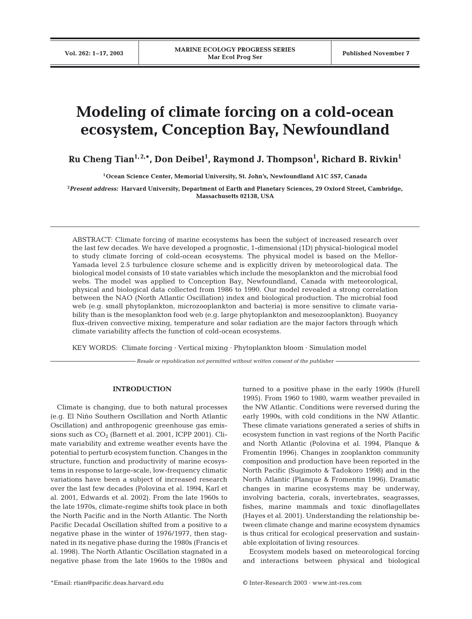# **Modeling of climate forcing on a cold-ocean ecosystem, Conception Bay, Newfoundland**

**Ru Cheng Tian1, 2,\*, Don Deibel1 , Raymond J. Thompson1 , Richard B. Rivkin1**

**1Ocean Science Center, Memorial University, St. John's, Newfoundland A1C 5S7, Canada**

**2** *Present address:* **Harvard University, Department of Earth and Planetary Sciences, 29 Oxford Street, Cambridge, Massachusetts 02138, USA**

ABSTRACT: Climate forcing of marine ecosystems has been the subject of increased research over the last few decades. We have developed a prognostic, 1-dimensional (1D) physical-biological model to study climate forcing of cold-ocean ecosystems. The physical model is based on the Mellor-Yamada level 2.5 turbulence closure scheme and is explicitly driven by meteorological data. The biological model consists of 10 state variables which include the mesoplankton and the microbial food webs. The model was applied to Conception Bay, Newfoundland, Canada with meteorological, physical and biological data collected from 1986 to 1990. Our model revealed a strong correlation between the NAO (North Atlantic Oscillation) index and biological production. The microbial food web (e.g. small phytoplankton, microzooplankton and bacteria) is more sensitive to climate variability than is the mesoplankton food web (e.g. large phytoplankton and mesozooplankton). Buoyancy flux-driven convective mixing, temperature and solar radiation are the major factors through which climate variability affects the function of cold-ocean ecosystems.

KEY WORDS: Climate forcing · Vertical mixing · Phytoplankton bloom · Simulation model

*Resale or republication not permitted without written consent of the publisher*

# **INTRODUCTION**

Climate is changing, due to both natural processes (e.g. El Niño Southern Oscillation and North Atlantic Oscillation) and anthropogenic greenhouse gas emissions such as  $CO<sub>2</sub>$  (Barnett et al. 2001, ICPP 2001). Climate variability and extreme weather events have the potential to perturb ecosystem function. Changes in the structure, function and productivity of marine ecosystems in response to large-scale, low-frequency climatic variations have been a subject of increased research over the last few decades (Polovina et al. 1994, Karl et al. 2001, Edwards et al. 2002). From the late 1960s to the late 1970s, climate-regime shifts took place in both the North Pacific and in the North Atlantic. The North Pacific Decadal Oscillation shifted from a positive to a negative phase in the winter of 1976/1977, then stagnated in its negative phase during the 1980s (Francis et al. 1998). The North Atlantic Oscillation stagnated in a negative phase from the late 1960s to the 1980s and turned to a positive phase in the early 1990s (Hurell 1995). From 1960 to 1980, warm weather prevailed in the NW Atlantic. Conditions were reversed during the early 1990s, with cold conditions in the NW Atlantic. These climate variations generated a series of shifts in ecosystem function in vast regions of the North Pacific and North Atlantic (Polovina et al. 1994, Planque & Fromentin 1996). Changes in zooplankton community composition and production have been reported in the North Pacific (Sugimoto & Tadokoro 1998) and in the North Atlantic (Planque & Fromentin 1996). Dramatic changes in marine ecosystems may be underway, involving bacteria, corals, invertebrates, seagrasses, fishes, marine mammals and toxic dinoflagellates (Hayes et al. 2001). Understanding the relationship between climate change and marine ecosystem dynamics is thus critical for ecological preservation and sustainable exploitation of living resources.

Ecosystem models based on meteorological forcing and interactions between physical and biological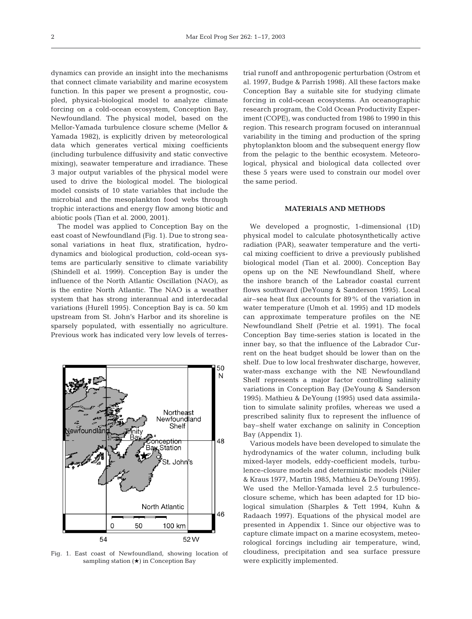dynamics can provide an insight into the mechanisms that connect climate variability and marine ecosystem function. In this paper we present a prognostic, coupled, physical-biological model to analyze climate forcing on a cold-ocean ecosystem, Conception Bay, Newfoundland. The physical model, based on the Mellor-Yamada turbulence closure scheme (Mellor & Yamada 1982), is explicitly driven by meteorological data which generates vertical mixing coefficients (including turbulence diffusivity and static convective mixing), seawater temperature and irradiance. These 3 major output variables of the physical model were used to drive the biological model. The biological model consists of 10 state variables that include the microbial and the mesoplankton food webs through trophic interactions and energy flow among biotic and abiotic pools (Tian et al. 2000, 2001).

The model was applied to Conception Bay on the east coast of Newfoundland (Fig. 1). Due to strong seasonal variations in heat flux, stratification, hydrodynamics and biological production, cold-ocean systems are particularly sensitive to climate variability (Shindell et al. 1999). Conception Bay is under the influence of the North Atlantic Oscillation (NAO), as is the entire North Atlantic. The NAO is a weather system that has strong interannual and interdecadal variations (Hurell 1995). Conception Bay is ca. 50 km upstream from St. John's Harbor and its shoreline is sparsely populated, with essentially no agriculture. Previous work has indicated very low levels of terres-



Fig. 1. East coast of Newfoundland, showing location of sampling station  $(\star)$  in Conception Bay

trial runoff and anthropogenic perturbation (Ostrom et al. 1997, Budge & Parrish 1998). All these factors make Conception Bay a suitable site for studying climate forcing in cold-ocean ecosystems. An oceanographic research program, the Cold Ocean Productivity Experiment (COPE), was conducted from 1986 to 1990 in this region. This research program focused on interannual variability in the timing and production of the spring phytoplankton bloom and the subsequent energy flow from the pelagic to the benthic ecosystem. Meteorological, physical and biological data collected over these 5 years were used to constrain our model over the same period.

# **MATERIALS AND METHODS**

We developed a prognostic, 1-dimensional (1D) physical model to calculate photosynthetically active radiation (PAR), seawater temperature and the vertical mixing coefficient to drive a previously published biological model (Tian et al. 2000). Conception Bay opens up on the NE Newfoundland Shelf, where the inshore branch of the Labrador coastal current flows southward (DeYoung & Sanderson 1995). Local air–sea heat flux accounts for 89% of the variation in water temperature (Umoh et al. 1995) and 1D models can approximate temperature profiles on the NE Newfoundland Shelf (Petrie et al. 1991). The focal Conception Bay time-series station is located in the inner bay, so that the influence of the Labrador Current on the heat budget should be lower than on the shelf. Due to low local freshwater discharge, however, water-mass exchange with the NE Newfoundland Shelf represents a major factor controlling salinity variations in Conception Bay (DeYoung & Sanderson 1995). Mathieu & DeYoung (1995) used data assimilation to simulate salinity profiles, whereas we used a prescribed salinity flux to represent the influence of bay–shelf water exchange on salinity in Conception Bay (Appendix 1).

Various models have been developed to simulate the hydrodynamics of the water column, including bulk mixed-layer models, eddy-coefficient models, turbulence-closure models and deterministic models (Niiler & Kraus 1977, Martin 1985, Mathieu & DeYoung 1995). We used the Mellor-Yamada level 2.5 turbulenceclosure scheme, which has been adapted for 1D biological simulation (Sharples & Tett 1994, Kuhn & Radaach 1997). Equations of the physical model are presented in Appendix 1. Since our objective was to capture climate impact on a marine ecosystem, meteorological forcings including air temperature, wind, cloudiness, precipitation and sea surface pressure were explicitly implemented.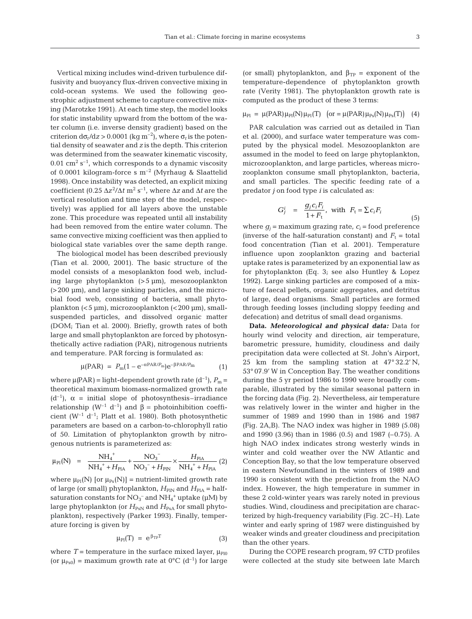Vertical mixing includes wind-driven turbulence diffusivity and buoyancy flux-driven convective mixing in cold-ocean systems. We used the following geostrophic adjustment scheme to capture convective mixing (Marotzke 1991). At each time step, the model looks for static instability upward from the bottom of the water column (i.e. inverse density gradient) based on the criterion  $d\sigma_t/dz > 0.0001$  (kg m<sup>-2</sup>), where  $\sigma_t$  is the potential density of seawater and *z* is the depth. This criterion was determined from the seawater kinematic viscosity,  $0.01 \text{ cm}^2 \text{ s}^{-1}$ , which corresponds to a dynamic viscosity of 0.0001 kilogram-force s  $m^{-2}$  (Myrhaug & Slaattelid 1998). Once instability was detected, an explicit mixing coefficient (0.25  $\Delta z^2/\Delta t$  m<sup>2</sup> s<sup>-1</sup>, where  $\Delta z$  and  $\Delta t$  are the vertical resolution and time step of the model, respectively) was applied for all layers above the unstable zone. This procedure was repeated until all instability had been removed from the entire water column. The same convective mixing coefficient was then applied to biological state variables over the same depth range.

The biological model has been described previously (Tian et al. 2000, 2001). The basic structure of the model consists of a mesoplankton food web, including large phytoplankton (>5 µm), mesozooplankton  $(>200 \mu m)$ , and large sinking particles, and the microbial food web, consisting of bacteria, small phytoplankton (<5 µm), microzooplankton (<200 µm), smallsuspended particles, and dissolved organic matter (DOM; Tian et al. 2000). Briefly, growth rates of both large and small phytoplankton are forced by photosynthetically active radiation (PAR), nitrogenous nutrients and temperature. PAR forcing is formulated as:

$$
\mu(\text{PAR}) = P_{\text{m}}(1 - e^{-\alpha P \text{AR}/P_{\text{m}}})e^{-\beta P \text{AR}/P_{\text{m}}}
$$
(1)

where  $\mu$ (PAR) = light-dependent growth rate (d<sup>-1</sup>),  $P_m$  = theoretical maximum biomass-normalized growth rate  $(d^{-1})$ ,  $\alpha$  = initial slope of photosynthesis–irradiance relationship  $(W^{-1} d^{-1})$  and β = photoinhibition coefficient ( $W^{-1}$  d<sup>-1</sup>; Platt et al. 1980). Both photosynthetic parameters are based on a carbon-to-chlorophyll ratio of 50. Limitation of phytoplankton growth by nitrogenous nutrients is parameterized as:

$$
\mu_{\rm Pl}(N) \;\; = \;\; \frac{NH_4^+}{NH_4^+ + H_{\rm PlA}} + \frac{NO_3^-}{NO_3^- + H_{\rm PlN}} \times \frac{H_{\rm PlA}}{NH_4^+ + H_{\rm PlA}} \; (2)
$$

where  $\mu_{\text{Pl}}(N)$  [or  $\mu_{\text{Ps}}(N)$ ] = nutrient-limited growth rate of large (or small) phytoplankton,  $H_{\text{PIN}}$  and  $H_{\text{PIA}}$  = halfsaturation constants for  $NO_3^-$  and  $NH_4^+$  uptake ( $\mu$ M) by large phytoplankton (or  $H_{\text{PsN}}$  and  $H_{\text{PsA}}$  for small phytoplankton), respectively (Parker 1993). Finally, temperature forcing is given by

$$
\mu_{\rm Pl}(T) = e^{\beta_{\rm TP}T} \tag{3}
$$

where  $T =$  temperature in the surface mixed layer,  $\mu_{P10}$ (or  $\mu_{\text{Ps0}}$ ) = maximum growth rate at 0°C (d<sup>-1</sup>) for large

(or small) phytoplankton, and  $\beta_{TP}$  = exponent of the temperature-dependence of phytoplankton growth rate (Verity 1981). The phytoplankton growth rate is computed as the product of these 3 terms:

 $\mu_{\rm Pl} = \mu(PAR)\mu_{\rm Pl}(N)\mu_{\rm Pl}(T)$  (or =  $\mu(PAR)\mu_{\rm Ps}(N)\mu_{\rm Ps}(T)$ ) (4)

PAR calculation was carried out as detailed in Tian et al. (2000), and surface water temperature was computed by the physical model. Mesozooplankton are assumed in the model to feed on large phytoplankton, microzooplankton, and large particles, whereas microzooplankton consume small phytoplankton, bacteria, and small particles. The specific feeding rate of a predator *j* on food type *i* is calculated as:

$$
G_j^i = \frac{g_j c_i F_i}{1 + F_t}, \text{ with } F_t = \sum c_i F_i \tag{5}
$$

where  $g_i$  = maximum grazing rate,  $c_i$  = food preference (inverse of the half-saturation constant) and  $F_t =$  total food concentration (Tian et al. 2001). Temperature influence upon zooplankton grazing and bacterial uptake rates is parameterized by an exponential law as for phytoplankton (Eq. 3; see also Huntley & Lopez 1992). Large sinking particles are composed of a mixture of faecal pellets, organic aggregates, and detritus of large, dead organisms. Small particles are formed through feeding losses (including sloppy feeding and defecation) and detritus of small dead organisms.

**Data.** *Meteorological and physical data:* Data for hourly wind velocity and direction, air temperature, barometric pressure, humidity, cloudiness and daily precipitation data were collected at St. John's Airport, 25 km from the sampling station at 47° 32.2' N, 53° 07.9' W in Conception Bay. The weather conditions during the 5 yr period 1986 to 1990 were broadly comparable, illustrated by the similar seasonal pattern in the forcing data (Fig. 2). Nevertheless, air temperature was relatively lower in the winter and higher in the summer of 1989 and 1990 than in 1986 and 1987 (Fig. 2A,B). The NAO index was higher in 1989 (5.08) and 1990 (3.96) than in 1986 (0.5) and 1987 (–0.75). A high NAO index indicates strong westerly winds in winter and cold weather over the NW Atlantic and Conception Bay, so that the low temperature observed in eastern Newfoundland in the winters of 1989 and 1990 is consistent with the prediction from the NAO index. However, the high temperature in summer in these 2 cold-winter years was rarely noted in previous studies. Wind, cloudiness and precipitation are characterized by high-frequency variability (Fig. 2C–H). Late winter and early spring of 1987 were distinguished by weaker winds and greater cloudiness and precipitation than the other years.

During the COPE research program, 97 CTD profiles were collected at the study site between late March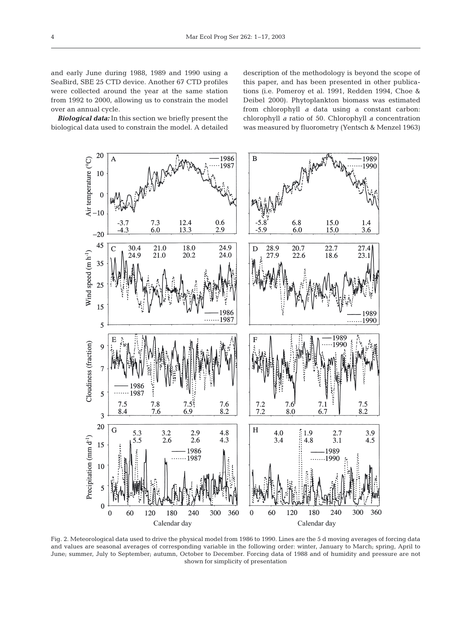and early June during 1988, 1989 and 1990 using a SeaBird, SBE 25 CTD device. Another 67 CTD profiles were collected around the year at the same station from 1992 to 2000, allowing us to constrain the model over an annual cycle.

*Biological data:* In this section we briefly present the biological data used to constrain the model. A detailed description of the methodology is beyond the scope of this paper, and has been presented in other publications (i.e. Pomeroy et al. 1991, Redden 1994, Choe & Deibel 2000). Phytoplankton biomass was estimated from chlorophyll *a* data using a constant carbon: chlorophyll *a* ratio of 50. Chlorophyll *a* concentration was measured by fluorometry (Yentsch & Menzel 1963)



Fig. 2. Meteorological data used to drive the physical model from 1986 to 1990. Lines are the 5 d moving averages of forcing data and values are seasonal averages of corresponding variable in the following order: winter, January to March; spring, April to June; summer, July to September; autumn, October to December. Forcing data of 1988 and of humidity and pressure are not shown for simplicity of presentation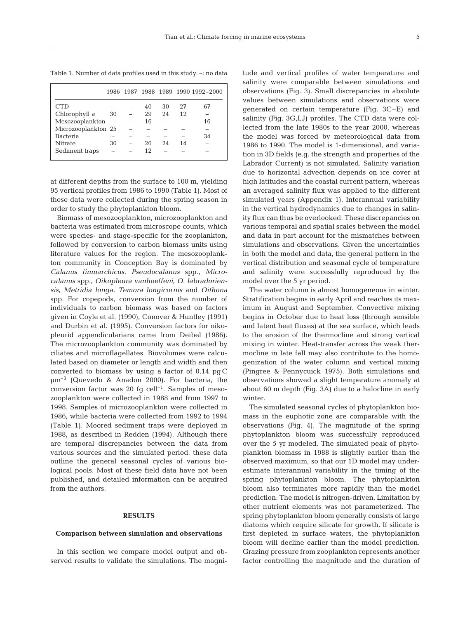Table 1. Number of data profiles used in this study. –: no data

|                     |    |    |    |    | 1986 1987 1988 1989 1990 1992-2000 |
|---------------------|----|----|----|----|------------------------------------|
| C.TD                |    | 40 | 30 | 27 | 67                                 |
| Chlorophyll a       | 30 | 29 | 24 | 12 |                                    |
| Mesozooplankton     |    | 16 |    |    | 16                                 |
| Microzooplankton 25 |    |    |    |    |                                    |
| <b>Bacteria</b>     |    |    |    |    | 34                                 |
| <b>Nitrate</b>      | 30 | 26 | 24 | 14 |                                    |
| Sediment traps      |    | 12 |    |    |                                    |

at different depths from the surface to 100 m, yielding 95 vertical profiles from 1986 to 1990 (Table 1). Most of these data were collected during the spring season in order to study the phytoplankton bloom.

Biomass of mesozooplankton, microzooplankton and bacteria was estimated from microscope counts, which were species- and stage-specific for the zooplankton, followed by conversion to carbon biomass units using literature values for the region. The mesozooplankton community in Conception Bay is dominated by *Calanus finmarchicus, Pseudocalanus* spp., *Microcalanus* spp., *Oikopleura vanhoeffeni, O. labradoriensis, Metridia longa, Temora longicornis* and *Oithona* spp. For copepods, conversion from the number of individuals to carbon biomass was based on factors given in Coyle et al. (1990), Conover & Huntley (1991) and Durbin et al. (1995). Conversion factors for oikopleurid appendicularians came from Deibel (1986). The microzooplankton community was dominated by ciliates and microflagellates. Biovolumes were calculated based on diameter or length and width and then converted to biomass by using a factor of 0.14 pg C µm–3 (Quevedo & Anadon 2000). For bacteria, the conversion factor was 20 fg  $cell<sup>-1</sup>$ . Samples of mesozooplankton were collected in 1988 and from 1997 to 1998. Samples of microzooplankton were collected in 1986, while bacteria were collected from 1992 to 1994 (Table 1). Moored sediment traps were deployed in 1988, as described in Redden (1994). Although there are temporal discrepancies between the data from various sources and the simulated period, these data outline the general seasonal cycles of various biological pools. Most of these field data have not been published, and detailed information can be acquired from the authors.

## **RESULTS**

# **Comparison between simulation and observations**

In this section we compare model output and observed results to validate the simulations. The magni-

tude and vertical profiles of water temperature and salinity were comparable between simulations and observations (Fig. 3). Small discrepancies in absolute values between simulations and observations were generated on certain temperature (Fig. 3C–E) and salinity (Fig. 3G,I,J) profiles. The CTD data were collected from the late 1980s to the year 2000, whereas the model was forced by meteorological data from 1986 to 1990. The model is 1-dimensional, and variation in 3D fields (e.g. the strength and properties of the Labrador Current) is not simulated. Salinity variation due to horizontal advection depends on ice cover at high latitudes and the coastal current pattern, whereas an averaged salinity flux was applied to the different simulated years (Appendix 1). Interannual variability in the vertical hydrodynamics due to changes in salinity flux can thus be overlooked. These discrepancies on various temporal and spatial scales between the model and data in part account for the mismatches between simulations and observations. Given the uncertainties in both the model and data, the general pattern in the vertical distribution and seasonal cycle of temperature and salinity were successfully reproduced by the model over the 5 yr period.

The water column is almost homogeneous in winter. Stratification begins in early April and reaches its maximum in August and September. Convective mixing begins in October due to heat loss (through sensible and latent heat fluxes) at the sea surface, which leads to the erosion of the thermocline and strong vertical mixing in winter. Heat-transfer across the weak thermocline in late fall may also contribute to the homogenization of the water column and vertical mixing (Pingree & Pennycuick 1975). Both simulations and observations showed a slight temperature anomaly at about 60 m depth (Fig. 3A) due to a halocline in early winter.

The simulated seasonal cycles of phytoplankton biomass in the euphotic zone are comparable with the observations (Fig. 4). The magnitude of the spring phytoplankton bloom was successfully reproduced over the 5 yr modeled. The simulated peak of phytoplankton biomass in 1988 is slightly earlier than the observed maximum, so that our 1D model may underestimate interannual variability in the timing of the spring phytoplankton bloom. The phytoplankton bloom also terminates more rapidly than the model prediction. The model is nitrogen-driven. Limitation by other nutrient elements was not parameterized. The spring phytoplankton bloom generally consists of large diatoms which require silicate for growth. If silicate is first depleted in surface waters, the phytoplankton bloom will decline earlier than the model prediction. Grazing pressure from zooplankton represents another factor controlling the magnitude and the duration of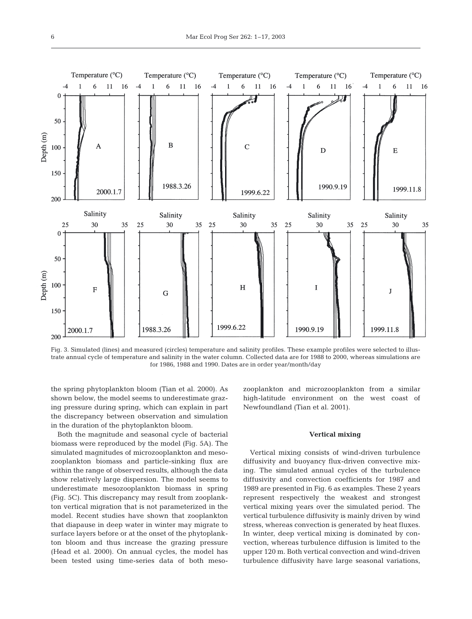

Fig. 3. Simulated (lines) and measured (circles) temperature and salinity profiles. These example profiles were selected to illustrate annual cycle of temperature and salinity in the water column. Collected data are for 1988 to 2000, whereas simulations are for 1986, 1988 and 1990. Dates are in order year/month/day

the spring phytoplankton bloom (Tian et al. 2000). As shown below, the model seems to underestimate grazing pressure during spring, which can explain in part the discrepancy between observation and simulation in the duration of the phytoplankton bloom.

Both the magnitude and seasonal cycle of bacterial biomass were reproduced by the model (Fig. 5A). The simulated magnitudes of microzooplankton and mesozooplankton biomass and particle-sinking flux are within the range of observed results, although the data show relatively large dispersion. The model seems to underestimate mesozooplankton biomass in spring (Fig. 5C). This discrepancy may result from zooplankton vertical migration that is not parameterized in the model. Recent studies have shown that zooplankton that diapause in deep water in winter may migrate to surface layers before or at the onset of the phytoplankton bloom and thus increase the grazing pressure (Head et al. 2000). On annual cycles, the model has been tested using time-series data of both meso-

zooplankton and microzooplankton from a similar high-latitude environment on the west coast of Newfoundland (Tian et al. 2001).

#### **Vertical mixing**

Vertical mixing consists of wind-driven turbulence diffusivity and buoyancy flux-driven convective mixing. The simulated annual cycles of the turbulence diffusivity and convection coefficients for 1987 and 1989 are presented in Fig. 6 as examples. These 2 years represent respectively the weakest and strongest vertical mixing years over the simulated period. The vertical turbulence diffusivity is mainly driven by wind stress, whereas convection is generated by heat fluxes. In winter, deep vertical mixing is dominated by convection, whereas turbulence diffusion is limited to the upper 120 m. Both vertical convection and wind-driven turbulence diffusivity have large seasonal variations,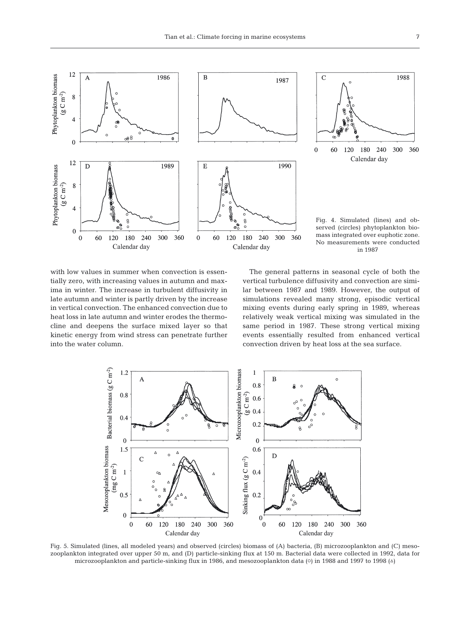



Fig. 4. Simulated (lines) and observed (circles) phytoplankton biomass integrated over euphotic zone. No measurements were conducted in 1987

with low values in summer when convection is essentially zero, with increasing values in autumn and maxima in winter. The increase in turbulent diffusivity in late autumn and winter is partly driven by the increase in vertical convection. The enhanced convection due to heat loss in late autumn and winter erodes the thermocline and deepens the surface mixed layer so that kinetic energy from wind stress can penetrate further into the water column.

The general patterns in seasonal cycle of both the vertical turbulence diffusivity and convection are similar between 1987 and 1989. However, the output of simulations revealed many strong, episodic vertical mixing events during early spring in 1989, whereas relatively weak vertical mixing was simulated in the same period in 1987. These strong vertical mixing events essentially resulted from enhanced vertical convection driven by heat loss at the sea surface.



Fig. 5. Simulated (lines, all modeled years) and observed (circles) biomass of (A) bacteria, (B) microzooplankton and (C) mesozooplankton integrated over upper 50 m, and (D) particle-sinking flux at 150 m. Bacterial data were collected in 1992, data for microzooplankton and particle-sinking flux in 1986, and mesozooplankton data ( $\circ$ ) in 1988 and 1997 to 1998 ( $\circ$ )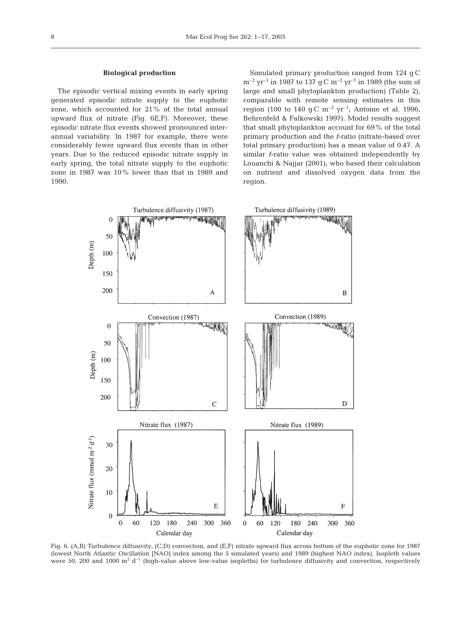#### **Biological production**

The episodic vertical mixing events in early spring generated episodic nitrate supply to the euphotic zone, which accounted for 21% of the total annual upward flux of nitrate (Fig. 6E,F). Moreover, these episodic nitrate flux events showed pronounced interannual variability. In 1987 for example, there were considerably fewer upward flux events than in other years. Due to the reduced episodic nitrate supply in early spring, the total nitrate supply to the euphotic zone in 1987 was 10% lower than that in 1989 and 1990.

Simulated primary production ranged from 124 g C  $m^{-2}$  yr<sup>-1</sup> in 1987 to 137 g C  $m^{-2}$  yr<sup>-1</sup> in 1989 (the sum of large and small phytoplankton production) (Table 2), comparable with remote sensing estimates in this region (100 to 140 g C  $m^{-2}$  yr<sup>-1</sup>; Antoine et al. 1996, Behrenfeld & Falkowski 1997). Model results suggest that small phytoplankton account for 69% of the total primary production and the *f*-ratio (nitrate-based over total primary production) has a mean value of 0.47. A similar *f*-ratio value was obtained independently by Louanchi & Najjar (2001), who based their calculation on nutrient and dissolved oxygen data from the region.



Fig. 6. (A,B) Turbulence diffusivity, (C,D) convection, and (E,F) nitrate upward flux across bottom of the euphotic zone for 1987 (lowest North Atlantic Oscillation [NAO] index among the 5 simulated years) and 1989 (highest NAO index). Isopleth values were 50, 200 and 1000  $m^2 d^{-1}$  (high-value above low-value isopleths) for turbulence diffusivity and convection, respectively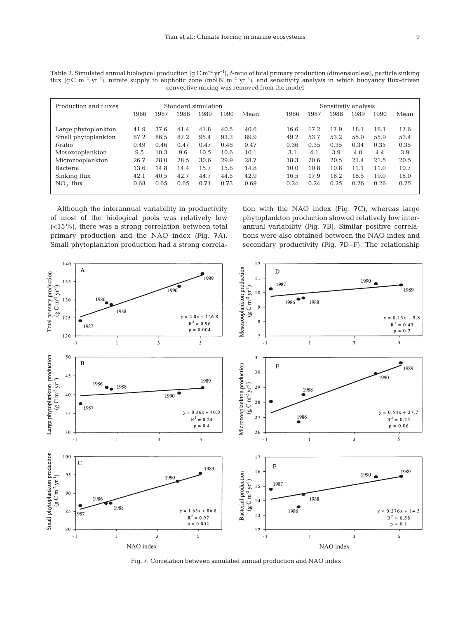Table 2. Simulated annual biological production (g C  $m^{-2}$  yr<sup>-1</sup>), *f*-ratio of total primary production (dimensionless), particle sinking flux (g C m<sup>-2</sup> yr<sup>-1</sup>), nitrate supply to euphotic zone (mol N m<sup>-2</sup> yr<sup>-1</sup>), and sensitivity analysis in which buoyancy flux-driven convective mixing was removed from the model

| Production and fluxes | Standard simulation |      |      |      |      | Sensitivity analysis |      |      |      |      |      |      |
|-----------------------|---------------------|------|------|------|------|----------------------|------|------|------|------|------|------|
|                       | 1986                | 1987 | 1988 | 1989 | 1990 | Mean                 | 1986 | 1987 | 1988 | 1989 | 1990 | Mean |
| Large phytoplankton   | 41.9                | 37.6 | 41.4 | 41.8 | 40.5 | 40.6                 | 16.6 | 17.2 | 17.9 | 18.1 | 18.1 | 17.6 |
| Small phytoplankton   | 87.2                | 86.5 | 87.2 | 95.4 | 93.3 | 89.9                 | 49.2 | 53.7 | 53.2 | 55.0 | 55.9 | 53.4 |
| f-ratio               | 0.49                | 0.46 | 0.47 | 0.47 | 0.46 | 0.47                 | 0.36 | 0.35 | 0.35 | 0.34 | 0.35 | 0.35 |
| Mesozooplankton       | 9.5                 | 10.3 | 9.6  | 10.5 | 10.6 | 10.1                 | 3.1  | 4.1  | 3.9  | 4.0  | 4.4  | 3.9  |
| Microzooplankton      | 26.7                | 28.0 | 28.5 | 30.6 | 29.9 | 28.7                 | 18.3 | 20.6 | 20.5 | 21.4 | 21.5 | 20.5 |
| <b>Bacteria</b>       | 13.6                | 14.8 | 14.4 | 15.7 | 15.6 | 14.8                 | 10.0 | 10.8 | 10.8 | 11.1 | 11.0 | 10.7 |
| Sinking flux          | 42.1                | 40.5 | 42.7 | 44.7 | 44.5 | 42.9                 | 16.5 | 17.9 | 18.2 | 18.5 | 19.0 | 18.0 |
| $NO_3^-$ flux         | 0.68                | 0.65 | 0.65 | 0.71 | 0.73 | 0.69                 | 0.24 | 0.24 | 0.25 | 0.26 | 0.26 | 0.25 |
|                       |                     |      |      |      |      |                      |      |      |      |      |      |      |

Although the interannual variability in productivity of most of the biological pools was relatively low (<15%), there was a strong correlation between total primary production and the NAO index (Fig. 7A). Small phytoplankton production had a strong correlation with the NAO index (Fig. 7C), whereas large phytoplankton production showed relatively low interannual variability (Fig. 7B). Similar positive correlations were also obtained between the NAO index and secondary productivity (Fig. 7D–F). The relationship



Fig. 7. Correlation between simulated annual production and NAO index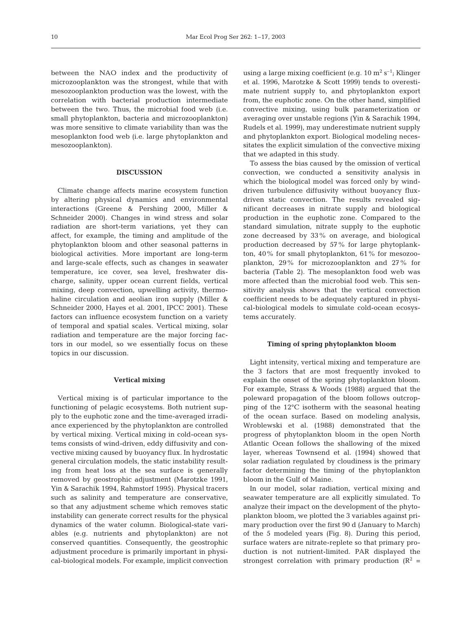between the NAO index and the productivity of microzooplankton was the strongest, while that with mesozooplankton production was the lowest, with the correlation with bacterial production intermediate between the two. Thus, the microbial food web (i.e. small phytoplankton, bacteria and microzooplankton) was more sensitive to climate variability than was the mesoplankton food web (i.e. large phytoplankton and mesozooplankton).

#### **DISCUSSION**

Climate change affects marine ecosystem function by altering physical dynamics and environmental interactions (Greene & Pershing 2000, Miller & Schneider 2000). Changes in wind stress and solar radiation are short-term variations, yet they can affect, for example, the timing and amplitude of the phytoplankton bloom and other seasonal patterns in biological activities. More important are long-term and large-scale effects, such as changes in seawater temperature, ice cover, sea level, freshwater discharge, salinity, upper ocean current fields, vertical mixing, deep convection, upwelling activity, thermohaline circulation and aeolian iron supply (Miller & Schneider 2000, Hayes et al. 2001, IPCC 2001). These factors can influence ecosystem function on a variety of temporal and spatial scales. Vertical mixing, solar radiation and temperature are the major forcing factors in our model, so we essentially focus on these topics in our discussion.

#### **Vertical mixing**

Vertical mixing is of particular importance to the functioning of pelagic ecosystems. Both nutrient supply to the euphotic zone and the time-averaged irradiance experienced by the phytoplankton are controlled by vertical mixing. Vertical mixing in cold-ocean systems consists of wind-driven, eddy diffusivity and convective mixing caused by buoyancy flux. In hydrostatic general circulation models, the static instability resulting from heat loss at the sea surface is generally removed by geostrophic adjustment (Marotzke 1991, Yin & Sarachik 1994, Rahmstorf 1995). Physical tracers such as salinity and temperature are conservative, so that any adjustment scheme which removes static instability can generate correct results for the physical dynamics of the water column. Biological-state variables (e.g. nutrients and phytoplankton) are not conserved quantities. Consequently, the geostrophic adjustment procedure is primarily important in physical-biological models. For example, implicit convection

using a large mixing coefficient (e.g.  $10 \text{ m}^2 \text{ s}^{-1}$ ; Klinger et al. 1996, Marotzke & Scott 1999) tends to overestimate nutrient supply to, and phytoplankton export from, the euphotic zone. On the other hand, simplified convective mixing, using bulk parameterization or averaging over unstable regions (Yin & Sarachik 1994, Rudels et al. 1999), may underestimate nutrient supply and phytoplankton export. Biological modeling necessitates the explicit simulation of the convective mixing that we adapted in this study.

To assess the bias caused by the omission of vertical convection, we conducted a sensitivity analysis in which the biological model was forced only by winddriven turbulence diffusivity without buoyancy fluxdriven static convection. The results revealed significant decreases in nitrate supply and biological production in the euphotic zone. Compared to the standard simulation, nitrate supply to the euphotic zone decreased by 33% on average, and biological production decreased by 57% for large phytoplankton, 40% for small phytoplankton, 61% for mesozooplankton, 29% for microzooplankton and 27% for bacteria (Table 2). The mesoplankton food web was more affected than the microbial food web. This sensitivity analysis shows that the vertical convection coefficient needs to be adequately captured in physical-biological models to simulate cold-ocean ecosystems accurately.

# **Timing of spring phytoplankton bloom**

Light intensity, vertical mixing and temperature are the 3 factors that are most frequently invoked to explain the onset of the spring phytoplankton bloom. For example, Strass & Woods (1988) argued that the poleward propagation of the bloom follows outcropping of the 12°C isotherm with the seasonal heating of the ocean surface. Based on modeling analysis, Wroblewski et al. (1988) demonstrated that the progress of phytoplankton bloom in the open North Atlantic Ocean follows the shallowing of the mixed layer, whereas Townsend et al. (1994) showed that solar radiation regulated by cloudiness is the primary factor determining the timing of the phytoplankton bloom in the Gulf of Maine.

In our model, solar radiation, vertical mixing and seawater temperature are all explicitly simulated. To analyze their impact on the development of the phytoplankton bloom, we plotted the 3 variables against primary production over the first 90 d (January to March) of the 5 modeled years (Fig. 8). During this period, surface waters are nitrate-replete so that primary production is not nutrient-limited. PAR displayed the strongest correlation with primary production  $(R^2 =$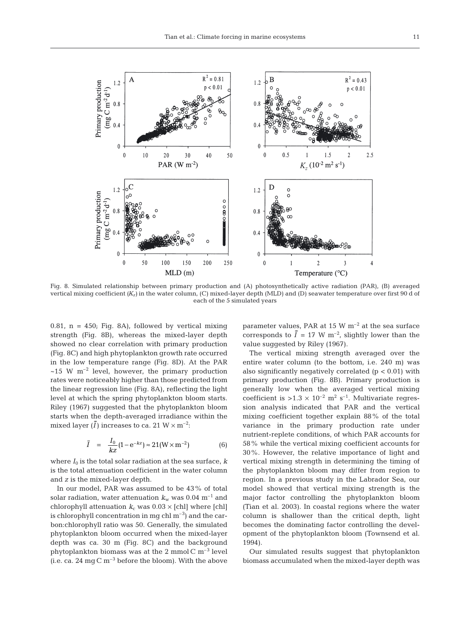

Fig. 8. Simulated relationship between primary production and (A) photosynthetically active radiation (PAR), (B) averaged vertical mixing coefficient *(Kz)* in the water column, (C) mixed-layer depth (MLD) and (D) seawater temperature over first 90 d of each of the 5 simulated years

0.81,  $n = 450$ ; Fig. 8A), followed by vertical mixing strength (Fig. 8B), whereas the mixed-layer depth showed no clear correlation with primary production (Fig. 8C) and high phytoplankton growth rate occurred in the low temperature range (Fig. 8D). At the PAR  $\sim$ 15 W m<sup>-2</sup> level, however, the primary production rates were noticeably higher than those predicted from the linear regression line (Fig. 8A), reflecting the light level at which the spring phytoplankton bloom starts. Riley (1967) suggested that the phytoplankton bloom starts when the depth-averaged irradiance within the mixed layer  $(\bar{I})$  increases to ca. 21  $W \times m^{-2}$ :

$$
\bar{I} = \frac{I_0}{kz} (1 - e^{-kz}) \approx 21 (W \times m^{-2})
$$
 (6)

where  $I_0$  is the total solar radiation at the sea surface,  $k$ is the total attenuation coefficient in the water column and *z* is the mixed-layer depth.

In our model, PAR was assumed to be 43% of total solar radiation, water attenuation  $k_w$  was 0.04 m<sup>-1</sup> and chlorophyll attenuation  $k_c$  was  $0.03 \times$  [chl] where [chl] is chlorophyll concentration in mg chl  $m^{-3}$ ) and the carbon:chlorophyll ratio was 50. Generally, the simulated phytoplankton bloom occurred when the mixed-layer depth was ca. 30 m (Fig. 8C) and the background phytoplankton biomass was at the 2 mmol  $C$  m<sup>-3</sup> level (i.e. ca. 24 mg  $C m^{-3}$  before the bloom). With the above

parameter values, PAR at 15 W  $\text{m}^{-2}$  at the sea surface corresponds to  $\bar{I} = 17$  W m<sup>-2</sup>, slightly lower than the value suggested by Riley (1967).

The vertical mixing strength averaged over the entire water column (to the bottom, i.e. 240 m) was also significantly negatively correlated  $(p < 0.01)$  with primary production (Fig. 8B). Primary production is generally low when the averaged vertical mixing coefficient is  $>1.3 \times 10^{-2}$  m<sup>2</sup> s<sup>-1</sup>. Multivariate regression analysis indicated that PAR and the vertical mixing coefficient together explain 88% of the total variance in the primary production rate under nutrient-replete conditions, of which PAR accounts for 58% while the vertical mixing coefficient accounts for 30%. However, the relative importance of light and vertical mixing strength in determining the timing of the phytoplankton bloom may differ from region to region. In a previous study in the Labrador Sea, our model showed that vertical mixing strength is the major factor controlling the phytoplankton bloom (Tian et al. 2003). In coastal regions where the water column is shallower than the critical depth, light becomes the dominating factor controlling the development of the phytoplankton bloom (Townsend et al. 1994).

Our simulated results suggest that phytoplankton biomass accumulated when the mixed-layer depth was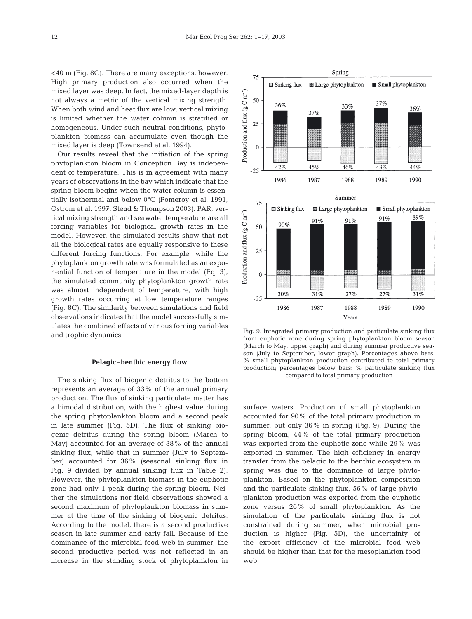<40 m (Fig. 8C). There are many exceptions, however. High primary production also occurred when the mixed layer was deep. In fact, the mixed-layer depth is not always a metric of the vertical mixing strength. When both wind and heat flux are low, vertical mixing is limited whether the water column is stratified or homogeneous. Under such neutral conditions, phytoplankton biomass can accumulate even though the mixed layer is deep (Townsend et al. 1994).

Our results reveal that the initiation of the spring phytoplankton bloom in Conception Bay is independent of temperature. This is in agreement with many years of observations in the bay which indicate that the spring bloom begins when the water column is essentially isothermal and below 0°C (Pomeroy et al. 1991, Ostrom et al. 1997, Stead & Thompson 2003). PAR, vertical mixing strength and seawater temperature are all forcing variables for biological growth rates in the model. However, the simulated results show that not all the biological rates are equally responsive to these different forcing functions. For example, while the phytoplankton growth rate was formulated as an exponential function of temperature in the model (Eq. 3), the simulated community phytoplankton growth rate was almost independent of temperature, with high growth rates occurring at low temperature ranges (Fig. 8C). The similarity between simulations and field observations indicates that the model successfully simulates the combined effects of various forcing variables and trophic dynamics.

## **Pelagic–benthic energy flow**

The sinking flux of biogenic detritus to the bottom represents an average of 33% of the annual primary production. The flux of sinking particulate matter has a bimodal distribution, with the highest value during the spring phytoplankton bloom and a second peak in late summer (Fig. 5D). The flux of sinking biogenic detritus during the spring bloom (March to May) accounted for an average of 38% of the annual sinking flux, while that in summer (July to September) accounted for 36% (seasonal sinking flux in Fig. 9 divided by annual sinking flux in Table 2). However, the phytoplankton biomass in the euphotic zone had only 1 peak during the spring bloom. Neither the simulations nor field observations showed a second maximum of phytoplankton biomass in summer at the time of the sinking of biogenic detritus. According to the model, there is a second productive season in late summer and early fall. Because of the dominance of the microbial food web in summer, the second productive period was not reflected in an increase in the standing stock of phytoplankton in



Fig. 9. Integrated primary production and particulate sinking flux from euphotic zone during spring phytoplankton bloom season (March to May, upper graph) and during summer productive season (July to September, lower graph). Percentages above bars: % small phytoplankton production contributed to total primary production; percentages below bars: % particulate sinking flux compared to total primary production

surface waters. Production of small phytoplankton accounted for 90% of the total primary production in summer, but only 36% in spring (Fig. 9). During the spring bloom, 44% of the total primary production was exported from the euphotic zone while 29% was exported in summer. The high efficiency in energy transfer from the pelagic to the benthic ecosystem in spring was due to the dominance of large phytoplankton. Based on the phytoplankton composition and the particulate sinking flux, 56% of large phytoplankton production was exported from the euphotic zone versus 26% of small phytoplankton. As the simulation of the particulate sinking flux is not constrained during summer, when microbial production is higher (Fig. 5D), the uncertainty of the export efficiency of the microbial food web should be higher than that for the mesoplankton food web.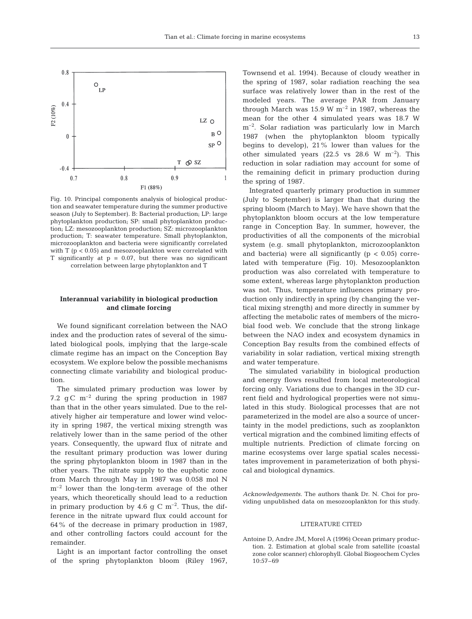

Fig. 10. Principal components analysis of biological production and seawater temperature during the summer productive season (July to September). B: Bacterial production; LP: large phytoplankton production; SP: small phytoplankton production; LZ: mesozooplankton production; SZ: microzooplankton production; T: seawater temperature. Small phytoplankton, microzooplankton and bacteria were significantly correlated with  $T$  ( $p < 0.05$ ) and mesozooplankton were correlated with T significantly at  $p = 0.07$ , but there was no significant correlation between large phytoplankton and T

# **Interannual variability in biological production and climate forcing**

We found significant correlation between the NAO index and the production rates of several of the simulated biological pools, implying that the large-scale climate regime has an impact on the Conception Bay ecosystem. We explore below the possible mechanisms connecting climate variability and biological production.

The simulated primary production was lower by 7.2 g C  $m^{-2}$  during the spring production in 1987 than that in the other years simulated. Due to the relatively higher air temperature and lower wind velocity in spring 1987, the vertical mixing strength was relatively lower than in the same period of the other years. Consequently, the upward flux of nitrate and the resultant primary production was lower during the spring phytoplankton bloom in 1987 than in the other years. The nitrate supply to the euphotic zone from March through May in 1987 was 0.058 mol N  $m<sup>-2</sup>$  lower than the long-term average of the other years, which theoretically should lead to a reduction in primary production by 4.6 g C  $m^{-2}$ . Thus, the difference in the nitrate upward flux could account for 64% of the decrease in primary production in 1987, and other controlling factors could account for the remainder.

Light is an important factor controlling the onset of the spring phytoplankton bloom (Riley 1967,

Townsend et al. 1994). Because of cloudy weather in the spring of 1987, solar radiation reaching the sea surface was relatively lower than in the rest of the modeled years. The average PAR from January through March was 15.9 W  $m^{-2}$  in 1987, whereas the mean for the other 4 simulated years was 18.7 W m–2. Solar radiation was particularly low in March 1987 (when the phytoplankton bloom typically begins to develop), 21% lower than values for the other simulated years (22.5 vs 28.6 W  $m^{-2}$ ). This reduction in solar radiation may account for some of the remaining deficit in primary production during the spring of 1987.

Integrated quarterly primary production in summer (July to September) is larger than that during the spring bloom (March to May). We have shown that the phytoplankton bloom occurs at the low temperature range in Conception Bay. In summer, however, the productivities of all the components of the microbial system (e.g. small phytoplankton, microzooplankton and bacteria) were all significantly ( $p < 0.05$ ) correlated with temperature (Fig. 10). Mesozooplankton production was also correlated with temperature to some extent, whereas large phytoplankton production was not. Thus, temperature influences primary production only indirectly in spring (by changing the vertical mixing strength) and more directly in summer by affecting the metabolic rates of members of the microbial food web. We conclude that the strong linkage between the NAO index and ecosystem dynamics in Conception Bay results from the combined effects of variability in solar radiation, vertical mixing strength and water temperature.

The simulated variability in biological production and energy flows resulted from local meteorological forcing only. Variations due to changes in the 3D current field and hydrological properties were not simulated in this study. Biological processes that are not parameterized in the model are also a source of uncertainty in the model predictions, such as zooplankton vertical migration and the combined limiting effects of multiple nutrients. Prediction of climate forcing on marine ecosystems over large spatial scales necessitates improvement in parameterization of both physical and biological dynamics.

*Acknowledgements.* The authors thank Dr. N. Choi for providing unpublished data on mesozooplankton for this study.

# LITERATURE CITED

Antoine D, Andre JM, Morel A (1996) Ocean primary production. 2. Estimation at global scale from satellite (coastal zone color scanner) chlorophyll. Global Biogeochem Cycles 10:57–69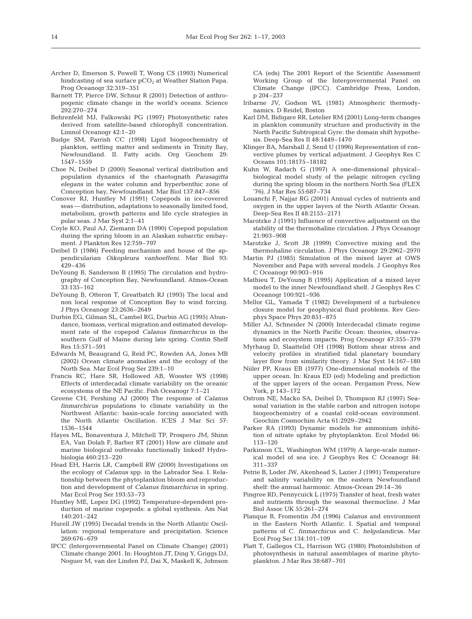- Archer D, Emerson S, Powell T, Wong CS (1993) Numerical hindcasting of sea surface pCO<sub>2</sub> at Weather Station Papa. Prog Oceanogr 32:319–351
- Barnett TP, Pierce DW, Schnur R (2001) Detection of anthropogenic climate change in the world's oceans. Science 292:270–274
- Behrenfeld MJ, Falkowski PG (1997) Photosynthetic rates derived from satellite-based chlorophyll concentration. Limnol Oceanogr 42:1–20
- Budge SM, Parrish CC (1998) Lipid biogeochemistry of plankton, settling matter and sediments in Trinity Bay, Newfoundland. II. Fatty acids. Org Geochem 29: 1547–1559
- Choe N, Deibel D (2000) Seasonal vertical distribution and population dynamics of the chaetognath *Parasagitta elegans* in the water column and hyperbenthic zone of Conception bay, Newfoundland. Mar Biol 137:847–856
- Conover RJ, Huntley M (1991) Copepods in ice-covered seas — distribution, adaptations to seasonally limited food, metabolism, growth patterns and life cycle strategies in polar seas. J Mar Syst 2:1–41
- Coyle KO, Paul AJ, Ziemann DA (1990) Copepod population during the spring bloom in an Alaskan subarctic embayment. J Plankton Res 12:759–797
- Deibel D (1986) Feeding mechanism and house of the appendicularian *Oikopleura vanhoeffeni*. Mar Biol 93: 429–436
- DeYoung B, Sanderson B (1995) The circulation and hydrography of Conception Bay, Newfoundland. Atmos-Ocean 33:135–162
- DeYoung B, Otteron T, Greatbatch RJ (1993) The local and non local response of Conception Bay to wind forcing. J Phys Oceanogr 23:2636–2649
- Durbin EG, Gilman SL, Cambel RG, Durbin AG (1995) Abundance, biomass, vertical migration and estimated development rate of the copepod *Calanus finmarchicus* in the southern Gulf of Maine during late spring. Contin Shelf Res 15:571–591
- Edwards M, Beaugrand G, Reid PC, Rowden AA, Jones MB (2002) Ocean climate anomalies and the ecology of the North Sea. Mar Ecol Prog Ser 239:1–10
- Francis RC, Hare SR, Hollowed AB, Wooster WS (1998) Effects of interdecadal climate variability on the oceanic ecosystems of the NE Pacific. Fish Oceanogr 7:1–21
- Greene CH, Pershing AJ (2000) The response of *Calanus finmarchicus* populations to climate variability in the Northwest Atlantic: basin-scale forcing associated with the North Atlantic Oscillation. ICES J Mar Sci 57: 1536–1544
- Hayes ML, Bonaventura J, Mitchell TP, Prospero JM, Shinn EA, Van Dolah F, Barber RT (2001) How are climate and marine biological outbreaks functionally linked? Hydrobiologia 460:213–220
- Head EH, Harris LR, Campbell RW (2000) Investigations on the ecology of *Calanus* spp. in the Labrador Sea. I. Relationship between the phytoplankton bloom and reproduction and development of *Calanus finmarchicus* in spring. Mar Ecol Prog Ser 193:53–73
- Huntley ME, Lopez DG (1992) Temperature-dependent production of marine copepods: a global synthesis. Am Nat 140:201–242
- Hurell JW (1995) Decadal trends in the North Atlantic Oscillation: regional temperature and precipitation. Science 269:676–679
- IPCC (Intergovernmental Panel on Climate Change) (2001) Climate change 2001. In: Houghton JT, Ding Y, Griggs DJ, Noguer M, van der Linden PJ, Dai X, Maskell K, Johnson

CA (eds) The 2001 Report of the Scientific Assessment Working Group of the Intergovernmental Panel on Climate Change (IPCC). Cambridge Press, London, p 204–237

- Iribarne JV, Godson WL (1981) Atmospheric thermodynamics. D Reidel, Boston
- Karl DM, Bidigare RR, Letelier RM (2001) Long-term changes in plankton community structure and productivity in the North Pacific Subtropical Gyre: the domain shift hypothesis. Deep-Sea Res II 48:1449–1470
- Klinger BA, Marshall J, Send U (1996) Representation of convective plumes by vertical adjustment. J Geophys Res C Oceans 101:18175–18182
- Kuhn W, Radach G (1997) A one-dimensional physical– biological model study of the pelagic nitrogen cycling during the spring bloom in the northern North Sea (FLEX '76). J Mar Res 55:687–734
- Louanchi F, Najjar RG (2001) Annual cycles of nutrients and oxygen in the upper layers of the North Atlantic Ocean. Deep-Sea Res II 48:2155–2171
- Marotzke J (1991) Influence of convective adjustment on the stability of the thermohaline circulation. J Phys Oceanogr 21:903–908
- Marotzke J, Scott JR (1999) Convective mixing and the thermohaline circulation. J Phys Oceanogr 29:2962–2970
- Martin PJ (1985) Simulation of the mixed layer at OWS November and Papa with several models. J Geophys Res C Oceanogr 90:903–916
- Mathieu T, DeYoung B (1995) Application of a mixed layer model to the inner Newfoundland shelf. J Geophys Res C Oceanogr 100:921–936
- Mellor GL, Yamada T (1982) Development of a turbulence closure model for geophysical fluid problems. Rev Geophys Space Phys 20:851–875
- Miller AJ, Schneider N (2000) Interdecadal climate regime dynamics in the North Pacific Ocean: theories, observations and ecosystem impacts. Prog Oceanogr 47:355–379
- Myrhaug D, Slaattelid OH (1998) Bottom shear stress and velocity profiles in stratified tidal planetary boundary layer flow from similarity theory. J Mar Syst 14:167–180
- Niiler PP, Kraus EB (1977) One-dimensional models of the upper ocean. In: Kraus ED (ed) Modeling and prediction of the upper layers of the ocean. Pergamon Press, New York, p 143–172
- Ostrom NE, Macko SA, Deibel D, Thompson RJ (1997) Seasonal variation in the stable carbon and nitrogen isotope biogeochemistry of a coastal cold-ocean environment. Geochim Cosmochim Acta 61:2929–2942
- Parker RA (1993) Dynamic models for ammonium inhibition of nitrate uptake by phytoplankton. Ecol Model 66: 113–120
- Parkinson CL, Washington WM (1979) A large-scale numerical model of sea ice. J Geophys Res C Oceanogr 84: 311–337
- Petrie B, Loder JW, Akenhead S, Lazier J (1991) Temperature and salinity variability on the eastern Newfoundland shelf: the annual harmonic. Atmos-Ocean 29:14–36
- Pingree RD, Pennycuick L (1975) Transfer of heat, fresh water and nutrients through the seasonal thermocline. J Mar Biol Assoc UK 55:261–274
- Planque B, Fromentin JM (1996) *Calanus* and environment in the Eastern North Atlantic. I. Spatial and temporal patterns of C. *finmarchicus* and C. *helgolandicu*s. Mar Ecol Prog Ser 134:101–109
- Platt T, Gallegos CL, Harrison WG (1980) Photoinhibition of photosynthesis in natural assemblages of marine phytoplankton. J Mar Res 38:687–701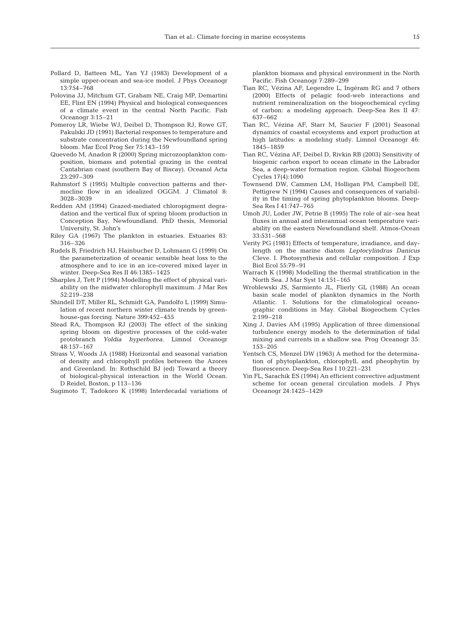- Pollard D, Batteen ML, Yan YJ (1983) Development of a simple upper-ocean and sea-ice model. J Phys Oceanogr 13:754–768
- Polovina JJ, Mitchum GT, Graham NE, Craig MP, Demartini EE, Flint EN (1994) Physical and biological consequences of a climate event in the central North Pacific. Fish Oceanogr 3:15–21
- Pomeroy LR, Wiebe WJ, Deibel D, Thompson RJ, Rowe GT, Pakulski JD (1991) Bacterial responses to temperature and substrate concentration during the Newfoundland spring bloom. Mar Ecol Prog Ser 75:143–159
- Quevedo M, Anadon R (2000) Spring microzooplankton composition, biomass and potential grazing in the central Cantabrian coast (southern Bay of Biscay). Oceanol Acta 23:297–309
- Rahmstorf S (1995) Multiple convection patterns and thermocline flow in an idealized OGGM. J Climatol 8: 3028–3039
- Redden AM (1994) Grazed-mediated chloropigment degradation and the vertical flux of spring bloom production in Conception Bay, Newfoundland. PhD thesis, Memorial University, St. John's
- Riley GA (1967) The plankton in estuaries. Estuaries 83: 316–326
- Rudels B, Friedrich HJ, Hainbucher D, Lohmann G (1999) On the parameterization of oceanic sensible heat loss to the atmosphere and to ice in an ice-covered mixed layer in winter. Deep-Sea Res II 46:1385–1425
- Sharples J, Tett P (1994) Modelling the effect of physical variability on the midwater chlorophyll maximum. J Mar Res 52:219–238
- Shindell DT, Miller RL, Schmidt GA, Pandolfo L (1999) Simulation of recent northern winter climate trends by greenhouse-gas forcing. Nature 399:452–455
- Stead RA, Thompson RJ (2003) The effect of the sinking spring bloom on digestive processes of the cold-water protobranch *Yoldia hyperborea.* Limnol Oceanogr 48:157–167
- Strass V, Woods JA (1988) Horizontal and seasonal variation of density and chlorophyll profiles between the Azores and Greenland. In: Rothschild BJ (ed) Toward a theory of biological-physical interaction in the World Ocean. D Reidel, Boston, p 113–136

Sugimoto T, Tadokoro K (1998) Interdecadal variations of

plankton biomass and physical environment in the North Pacific. Fish Oceanogr 7:289–299

- Tian RC, Vézina AF, Legendre L, Ingéram RG and 7 others (2000) Effects of pelagic food-web interactions and nutrient remineralization on the biogeochemical cycling of carbon: a modeling approach. Deep-Sea Res II 47: 637–662
- Tian RC, Vézina AF, Starr M, Saucier F (2001) Seasonal dynamics of coastal ecosystems and export production at high latitudes: a modeling study. Limnol Oceanogr 46: 1845–1859
- Tian RC, Vézina AF, Deibel D, Rivkin RB (2003) Sensitivity of biogenic carbon export to ocean climate in the Labrador Sea, a deep-water formation region. Global Biogeochem Cycles 17(4):1090
- Townsend DW, Cammen LM, Holligan PM, Campbell DE, Pettigrew N (1994) Causes and consequences of variability in the timing of spring phytoplankton blooms. Deep-Sea Res I 41:747–765
- Umoh JU, Loder JW, Petrie B (1995) The role of air–sea heat fluxes in annual and interannual ocean temperature variability on the eastern Newfoundland shelf. Atmos-Ocean 33:531–568
- Verity PG (1981) Effects of temperature, irradiance, and daylength on the marine diatom *Leptocylindrus Danicus* Cleve. I. Photosynthesis and cellular composition. J Exp Biol Ecol 55:79–91
- Warrach K (1998) Modelling the thermal stratification in the North Sea. J Mar Syst 14:151–165
- Wroblewski JS, Sarmiento JL, Flierly GL (1988) An ocean basin scale model of plankton dynamics in the North Atlantic. 1. Solutions for the climatological oceanographic conditions in May. Global Biogeochem Cycles 2:199–218
- Xing J, Davies AM (1995) Application of three dimensional turbulence energy models to the determination of tidal mixing and currents in a shallow sea. Prog Oceanogr 35: 153–205
- Yentsch CS, Menzel DW (1963) A method for the determination of phytoplankton, chlorophyll, and pheophytin by fluorescence. Deep-Sea Res I 10:221–231
- Yin FL, Sarachik ES (1994) An efficient convective adjustment scheme for ocean general circulation models. J Phys Oceanogr 24:1425–1429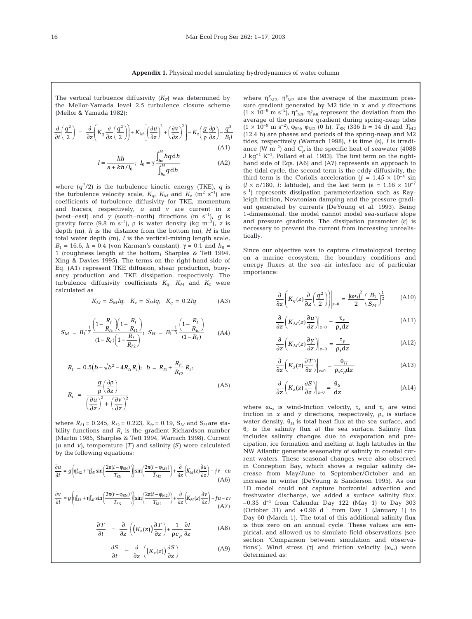The vertical turbuence diffusivity  $(K_Z)$  was determined by the Mellor-Yamada level 2.5 turbulence closure scheme (Mellor & Yamada 1982):

$$
\frac{\partial}{\partial t} \left( \frac{q^2}{2} \right) = \frac{\partial}{\partial z} \left( K_q \frac{\partial}{\partial z} \left( \frac{q^2}{2} \right) \right) + K_M \left[ \left( \frac{\partial u}{\partial z} \right)^2 + \left( \frac{\partial v}{\partial z} \right)^2 \right] - K_z \left( \frac{g}{\rho} \frac{\partial \rho}{\partial z} \right) - \frac{q^3}{B_l l}
$$
\n(A1)

$$
I = \frac{kh}{a + kh/I_0}; \quad I_0 = \gamma \frac{\int_{h_0}^{H} hq \, dh}{\int_{h_0}^{H} q \, dh}
$$
(A2)

where  $(q^2/2)$  is the turbulence kinetic energy (TKE),  $q$  is the turbulence velocity scale,  $K_{\alpha}$ ,  $K_M$  and  $K_z$  (m<sup>2</sup> s<sup>-1</sup>) are coefficients of turbulence diffusivity for TKE, momentum and tracers, respectively, *u* and *v* are current in *x* (west–east) and *y* (south–north) directions (m  $s^{-1}$ ), *g* is gravity force  $(9.8 \text{ m s}^{-2})$ ,  $\rho$  is water density (kg m<sup>-3</sup>), *z* is depth (m), *h* is the distance from the bottom (m), *H* is the total water depth (m), *l* is the vertical-mixing length scale, *B*<sub>1</sub> = 16.6, *k* = 0.4 (von Karman's constant),  $γ = 0.1$  and  $h_0 =$ 1 (roughness length at the bottom; Sharples & Tett 1994, Xing & Davies 1995). The terms on the right-hand side of Eq. (A1) represent TKE diffusion, shear production, buoyancy production and TKE dissipation, respectively. The turbulence diffusivity coefficients  $K_{a}$ ,  $K_{M}$  and  $K_{z}$  were calculated as

$$
K_M = S_M lq; \ \ K_z = S_H lq; \ \ K_q = 0.2 lq \tag{A3}
$$

$$
S_M = B_1^{-\frac{1}{3}} \frac{\left(1 - \frac{R_f}{R_{fc}}\right)\left(1 - \frac{R_f}{R_{f1}}\right)}{(1 - R_f)\left(1 - \frac{R_f}{R_{f2}}\right)}, \ S_H = B_1^{-\frac{1}{3}} \frac{\left(1 - \frac{R_f}{R_{fc}}\right)}{(1 - R_f)} \tag{A4}
$$

$$
R_{f} = 0.5(b - \sqrt{b^{2} - 4R_{f_{1}}R_{j}}); b = R_{f_{1}} + \frac{R_{f_{1}}}{R_{f_{2}}}R_{i};
$$
  

$$
R_{i} = \frac{g}{\left(\frac{\partial p}{\partial z}\right)^{2} + \left(\frac{\partial v}{\partial z}\right)^{2}}
$$
(A5)

where  $R_{f1}$  = 0.245,  $R_{f2}$  = 0.223,  $R_{fc}$  = 0.19,  $S_M$  and  $S_H$  are stability functions and  $R_i$  is the gradient Richardson number (Martin 1985, Sharples & Tett 1994, Warrach 1998). Current (*u* and *v*), temperature *(T)* and salinity *(S)* were calculated by the following equations:

$$
\frac{\partial u}{\partial t} = g \left( \eta_{\text{M2}}^x + \eta_{\text{M}}^x \sin \left( \frac{2\pi (t - \varphi_{\text{SN}})}{T_{\text{SN}}} \right) \right) \sin \left( \frac{2\pi (t - \varphi_{\text{M2}})}{T_{\text{M2}}} \right) + \frac{\partial}{\partial z} \left( K_M(z) \frac{\partial u}{\partial z} \right) + f v - \varepsilon u
$$
\n(A6)

$$
\frac{\partial v}{\partial t} = g \left( \eta_{\rm M2}^{\rm y} + \eta_{\rm M2}^{\rm y} \sin \left( \frac{2\pi (t - \varphi_{\rm SN})}{T_{\rm SN}} \right) \right) \sin \left( \frac{2\pi (t - \varphi_{\rm M2})}{T_{\rm M2}} \right) + \frac{\partial}{\partial z} \left( K_M(z) \frac{\partial v}{\partial z} \right) - fu - \varepsilon v \tag{A7}
$$

$$
\frac{\partial T}{\partial t} = \frac{\partial}{\partial z} \left( \left( K_z(z) \right) \frac{\partial T}{\partial z} \right) + \frac{1}{\rho c_p} \frac{\partial I}{\partial z} \tag{A8}
$$

$$
\frac{\partial S}{\partial t} = \frac{\partial}{\partial z} \left( \left( K_z(z) \right) \frac{\partial S}{\partial z} \right) \tag{A9}
$$

where  $\eta_{M2}^{x}$ ,  $\eta_{M2}^{y}$  are the average of the maximum pressure gradient generated by M2 tide in *x* and *y* directions  $(1 \times 10^{-9} \text{ m s}^{-2})$ ,  $\eta_{Mf}^{x}$ ,  $\eta_{Mf}^{y}$  represent the deviation from the average of the pressure gradient during spring-neap tides  $(1 \times 10^{-9} \text{ m s}^{-2})$ ,  $\varphi_{\text{SN}}$ ,  $\varphi_{\text{M2}}$  (0 h),  $T_{\text{SN}}$  (336 h = 14 d) and  $T_{\text{M2}}$ (12.4 h) are phases and periods of the spring-neap and M2 tides, respectively (Warrach 1998), *t* is time (s), *I* is irradiance (W  $\overline{m}^{-2}$ ) and  $C_p$  is the specific heat of seawater (4088) J kg<sup>-1</sup> K<sup>-1</sup>; Pollard et al. 1983). The first term on the righthand side of Eqs. (A6) and (A7) represents an approach to the tidal cycle, the second term is the eddy diffusivity, the third term is the Coriolis acceleration ( $f = 1.45 \times 10^{-4}$  sin  $(l \times \pi/180, l$ : latitude), and the last term ( $\epsilon = 1.16 \times 10^{-7}$  $s^{-1}$ ) represents dissipation parameterization such as Rayleigh friction, Newtonian damping and the pressure gradient generated by currents (DeYoung et al. 1993). Being 1-dimensional, the model cannot model sea-surface slope and pressure gradients. The dissipation parameter  $(\epsilon)$  is necessary to prevent the current from increasing unrealistically.

Since our objective was to capture climatological forcing on a marine ecosystem, the boundary conditions and energy fluxes at the sea–air interface are of particular importance:

$$
\frac{\partial}{\partial z} \left( K_q(z) \frac{\partial}{\partial z} \left( \frac{q^2}{2} \right) \right) \Big|_{z=0} = \frac{(\omega \cdot s)^2}{2} \left( \frac{B_1}{S_M} \right)^{\frac{1}{2}} \tag{A10}
$$

$$
\frac{\partial}{\partial z} \left( K_M(z) \frac{\partial u}{\partial z} \right) \bigg|_{z=0} = \frac{\tau_x}{\rho_s \, dz} \tag{A11}
$$

$$
\frac{\partial}{\partial z} \left( K_M(z) \frac{\partial y}{\partial z} \right) \Big|_{z=0} = \frac{\tau_y}{\rho_s \mathrm{d} z} \tag{A12}
$$

$$
\frac{\partial}{\partial z} \left( K_z(z) \frac{\partial T}{\partial z} \right) \bigg|_{z=0} = \frac{\theta_H}{\rho_s c_p \text{d} z} \tag{A13}
$$

$$
\frac{\partial}{\partial z} \left( K_z(z) \frac{\partial S}{\partial z} \right) \Big|_{z=0} = \frac{\theta_S}{dz}
$$
 (A14)

where  $\omega_{*s}$  is wind-friction velocity,  $\tau_x$  and  $\tau_y$  are wind friction in *x* and *y* directions, respectively,  $\rho_s$  is surface water density,  $\theta_H$  is total heat flux at the sea surface, and θ*<sup>s</sup>* is the salinity flux at the sea surface. Salinity flux includes salinity changes due to evaporation and precipation, ice formation and melting at high latitudes in the NW Atlantic generate seasonality of salinity in coastal current waters. These seasonal changes were also observed in Conception Bay, which shows a regular salinity decrease from May/June to September/October and an increase in winter (DeYoung & Sanderson 1995). As our 1D model could not capture horizontal advection and freshwater discharge, we added a surface salinity flux,  $-0.35$  d<sup>-1</sup> from Calendar Day 122 (May 1) to Day 303 (October 31) and  $+0.96$  d<sup>-1</sup> from Day 1 (January 1) to Day 60 (March 1). The total of this additional salinity flux is thus zero on an annual cycle. These values are empirical, and allowed us to simulate field observations (see section 'Comparison between simulation and observations'). Wind stress (τ) and friction velocity (ω<sub>\*s</sub>) were determined as: